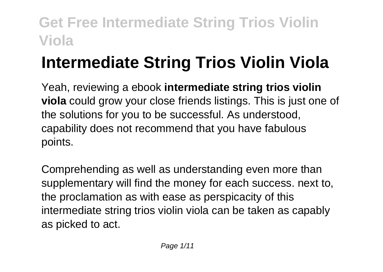# **Intermediate String Trios Violin Viola**

Yeah, reviewing a ebook **intermediate string trios violin viola** could grow your close friends listings. This is just one of the solutions for you to be successful. As understood, capability does not recommend that you have fabulous points.

Comprehending as well as understanding even more than supplementary will find the money for each success. next to, the proclamation as with ease as perspicacity of this intermediate string trios violin viola can be taken as capably as picked to act.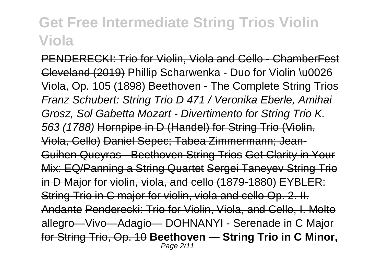PENDERECKI: Trio for Violin, Viola and Cello - ChamberFest Cleveland (2019) Phillip Scharwenka - Duo for Violin \u0026 Viola, Op. 105 (1898) Beethoven - The Complete String Trios Franz Schubert: String Trio D 471 / Veronika Eberle, Amihai Grosz, Sol Gabetta Mozart - Divertimento for String Trio K. 563 (1788) Hornpipe in D (Handel) for String Trio (Violin, Viola, Cello) Daniel Sepec; Tabea Zimmermann; Jean-Guihen Queyras - Beethoven String Trios Get Clarity in Your Mix: EQ/Panning a String Quartet Sergei Taneyev String Trio in D Major for violin, viola, and cello (1879-1880) EYBLER: String Trio in C major for violin, viola and cello Op. 2. II. Andante Penderecki: Trio for Violin, Viola, and Cello, I. Molto allegro—Vivo—Adagio— DOHNANYI - Serenade in C Major for String Trio, Op. 10 **Beethoven — String Trio in C Minor,** Page 2/11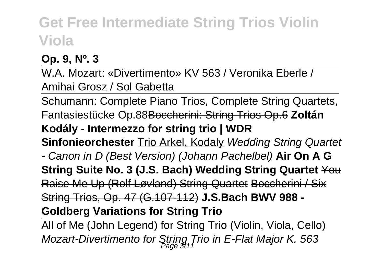**Op. 9, Nº. 3**

W.A. Mozart: «Divertimento» KV 563 / Veronika Eberle / Amihai Grosz / Sol Gabetta

Schumann: Complete Piano Trios, Complete String Quartets, Fantasiestücke Op.88Boccherini: String Trios Op.6 **Zoltán Kodály - Intermezzo for string trio | WDR Sinfonieorchester Trio Arkel, Kodaly Wedding String Quartet** - Canon in D (Best Version) (Johann Pachelbel) **Air On A G String Suite No. 3 (J.S. Bach) Wedding String Quartet** You Raise Me Up (Rolf Løvland) String Quartet Boccherini / Six String Trios, Op. 47 (G.107-112) **J.S.Bach BWV 988 - Goldberg Variations for String Trio**

All of Me (John Legend) for String Trio (Violin, Viola, Cello) Mozart-Divertimento for String Trio in E-Flat Major K. 563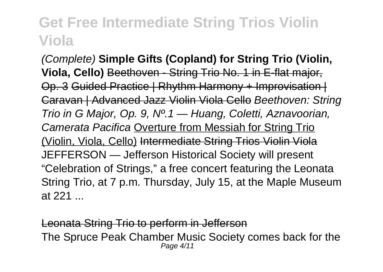(Complete) **Simple Gifts (Copland) for String Trio (Violin, Viola, Cello)** Beethoven - String Trio No. 1 in E-flat major, Op. 3 Guided Practice | Rhythm Harmony + Improvisation | Caravan | Advanced Jazz Violin Viola Cello Beethoven: String Trio in G Major, Op. 9, Nº.1 — Huang, Coletti, Aznavoorian, Camerata Pacifica Overture from Messiah for String Trio (Violin, Viola, Cello) Intermediate String Trios Violin Viola JEFFERSON — Jefferson Historical Society will present "Celebration of Strings," a free concert featuring the Leonata String Trio, at 7 p.m. Thursday, July 15, at the Maple Museum at 221 ...

Leonata String Trio to perform in Jefferson The Spruce Peak Chamber Music Society comes back for the Page 4/11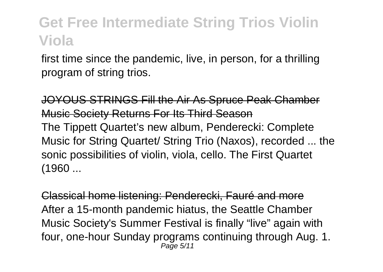first time since the pandemic, live, in person, for a thrilling program of string trios.

JOYOUS STRINGS Fill the Air As Spruce Peak Chamber Music Society Returns For Its Third Season The Tippett Quartet's new album, Penderecki: Complete Music for String Quartet/ String Trio (Naxos), recorded ... the sonic possibilities of violin, viola, cello. The First Quartet (1960 ...

Classical home listening: Penderecki, Fauré and more After a 15-month pandemic hiatus, the Seattle Chamber Music Society's Summer Festival is finally "live" again with four, one-hour Sunday programs continuing through Aug. 1. Page 5/11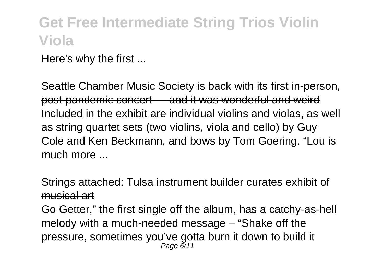Here's why the first ...

Seattle Chamber Music Society is back with its first in-person, post-pandemic concert — and it was wonderful and weird Included in the exhibit are individual violins and violas, as well as string quartet sets (two violins, viola and cello) by Guy Cole and Ken Beckmann, and bows by Tom Goering. "Lou is much more

Strings attached: Tulsa instrument builder curates exhibit of musical art

Go Getter," the first single off the album, has a catchy-as-hell melody with a much-needed message – "Shake off the pressure, sometimes you've gotta burn it down to build it Page 6/11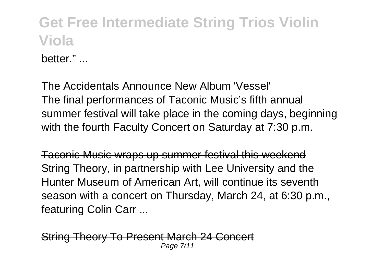hetter."

The Accidentals Announce New Album 'Vessel' The final performances of Taconic Music's fifth annual summer festival will take place in the coming days, beginning with the fourth Faculty Concert on Saturday at 7:30 p.m.

Taconic Music wraps up summer festival this weekend String Theory, in partnership with Lee University and the Hunter Museum of American Art, will continue its seventh season with a concert on Thursday, March 24, at 6:30 p.m., featuring Colin Carr ...

String Theory To Present March 24 Concert Page 7/11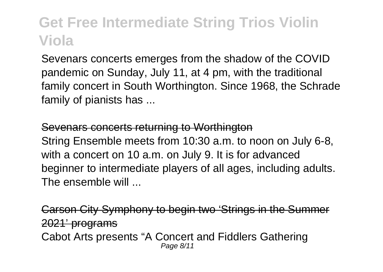Sevenars concerts emerges from the shadow of the COVID pandemic on Sunday, July 11, at 4 pm, with the traditional family concert in South Worthington. Since 1968, the Schrade family of pianists has ...

#### Sevenars concerts returning to Worthington

String Ensemble meets from 10:30 a.m. to noon on July 6-8, with a concert on 10 a.m. on July 9. It is for advanced beginner to intermediate players of all ages, including adults. The ensemble will ...

Carson City Symphony to begin two 'Strings in the Summer 2021' programs Cabot Arts presents "A Concert and Fiddlers Gathering Page 8/11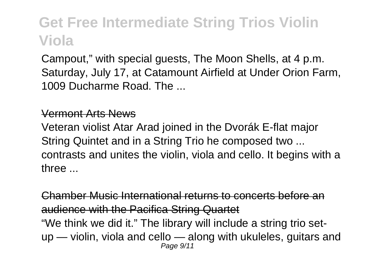Campout," with special guests, The Moon Shells, at 4 p.m. Saturday, July 17, at Catamount Airfield at Under Orion Farm, 1009 Ducharme Road. The ...

#### Vermont Arts News

Veteran violist Atar Arad joined in the Dvorák E-flat major String Quintet and in a String Trio he composed two ... contrasts and unites the violin, viola and cello. It begins with a three ...

Chamber Music International returns to concerts before an audience with the Pacifica String Quartet "We think we did it." The library will include a string trio setup — violin, viola and cello — along with ukuleles, guitars and Page 9/11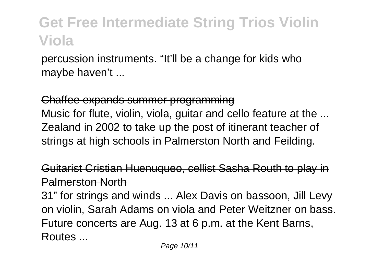percussion instruments. "It'll be a change for kids who maybe haven't ...

Chaffee expands summer programming Music for flute, violin, viola, guitar and cello feature at the ... Zealand in 2002 to take up the post of itinerant teacher of strings at high schools in Palmerston North and Feilding.

Guitarist Cristian Huenuqueo, cellist Sasha Routh to play in Palmerston North

31" for strings and winds ... Alex Davis on bassoon, Jill Levy on violin, Sarah Adams on viola and Peter Weitzner on bass. Future concerts are Aug. 13 at 6 p.m. at the Kent Barns, **Routes**